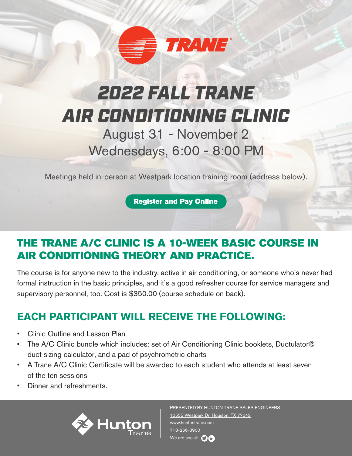

# *2022 FALL TRANE AIR CONDITIONING CLINIC*

August 31 - November 2 Wednesdays, 6:00 - 8:00 PM

Meetings held in-person at Westpark location training room (address below).

[Register and Pay Online](https://sholbrook.wufoo.com/forms/x1jupeqm0nv63ma/) 

#### THE TRANE A/C CLINIC IS A 10-WEEK BASIC COURSE IN AIR CONDITIONING THEORY AND PRACTICE.

The course is for anyone new to the industry, active in air conditioning, or someone who's never had formal instruction in the basic principles, and it's a good refresher course for service managers and supervisory personnel, too. Cost is \$350.00 (course schedule on back).

### **EACH PARTICIPANT WILL RECEIVE THE FOLLOWING:**

- Clinic Outline and Lesson Plan
- The A/C Clinic bundle which includes: set of Air Conditioning Clinic booklets, Ductulator® duct sizing calculator, and a pad of psychrometric charts
- A Trane A/C Clinic Certificate will be awarded to each student who attends at least seven of the ten sessions
- Dinner and refreshments.



PRESENTED BY HUNTON TRANE SALES ENGINEERS [10555 Westpark Dr. Houston, TX 77042](https://goo.gl/maps/gw22xhdp7Z4jp58MA) www.huntontrane.com 713-266-3900 We are social:  $\bigcirc$  in